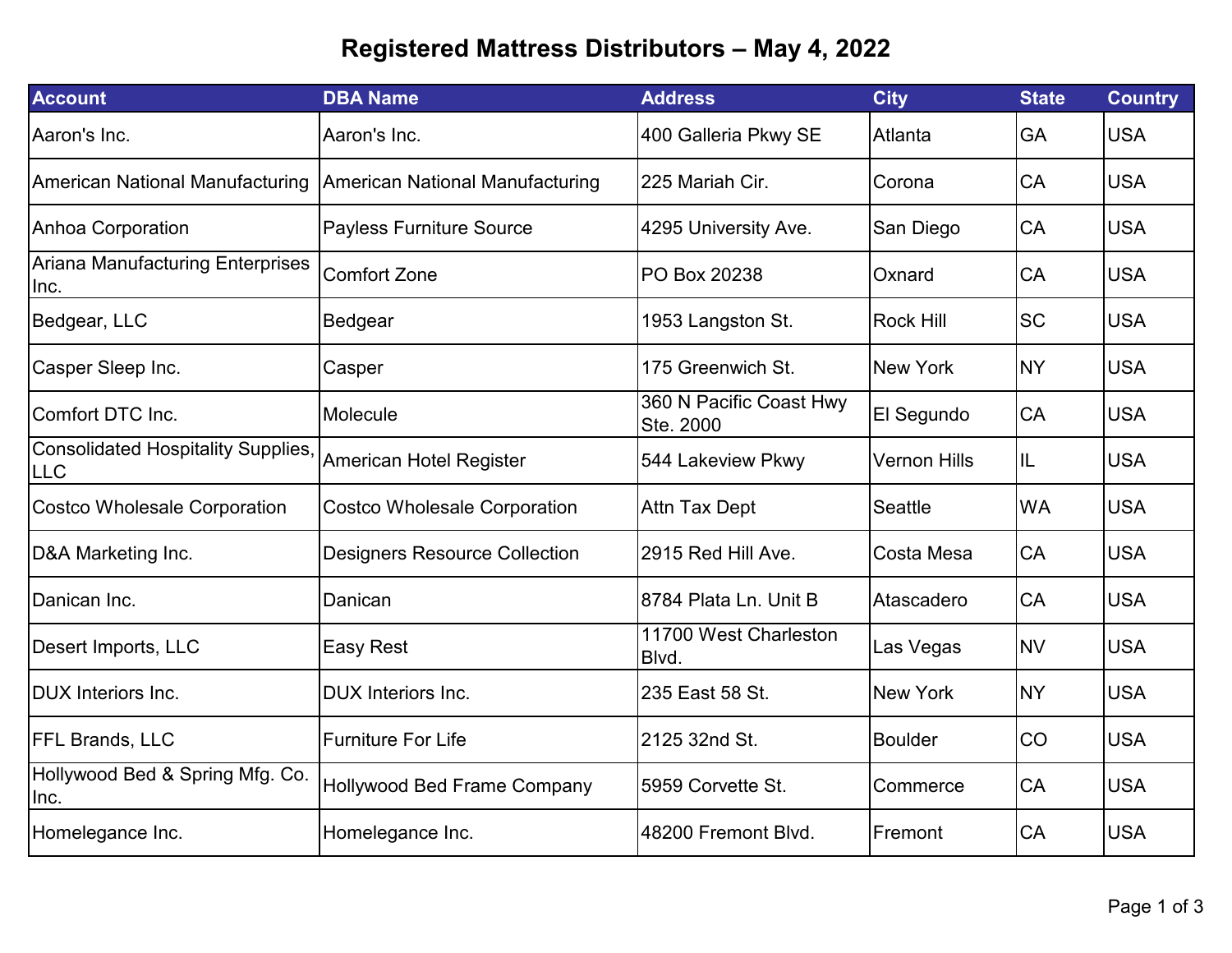## **Registered Mattress Distributors – May 4, 2022**

| <b>Account</b>                                         | <b>DBA Name</b>                      | <b>Address</b>                       | <b>City</b>         | <b>State</b> | <b>Country</b> |
|--------------------------------------------------------|--------------------------------------|--------------------------------------|---------------------|--------------|----------------|
| Aaron's Inc.                                           | Aaron's Inc.                         | 400 Galleria Pkwy SE                 | Atlanta             | GA           | <b>USA</b>     |
| American National Manufacturing                        | American National Manufacturing      | 225 Mariah Cir.                      | Corona              | CA           | <b>USA</b>     |
| Anhoa Corporation                                      | <b>Payless Furniture Source</b>      | 4295 University Ave.                 | San Diego           | CA           | <b>USA</b>     |
| <b>Ariana Manufacturing Enterprises</b><br>Inc.        | <b>Comfort Zone</b>                  | PO Box 20238                         | Oxnard              | CA           | <b>USA</b>     |
| Bedgear, LLC                                           | Bedgear                              | 1953 Langston St.                    | <b>Rock Hill</b>    | <b>SC</b>    | <b>USA</b>     |
| Casper Sleep Inc.                                      | Casper                               | 175 Greenwich St.                    | <b>New York</b>     | <b>NY</b>    | <b>USA</b>     |
| Comfort DTC Inc.                                       | Molecule                             | 360 N Pacific Coast Hwy<br>Ste. 2000 | El Segundo          | <b>CA</b>    | <b>USA</b>     |
| <b>Consolidated Hospitality Supplies</b><br><b>LLC</b> | American Hotel Register              | 544 Lakeview Pkwy                    | <b>Vernon Hills</b> | IL           | <b>USA</b>     |
| <b>Costco Wholesale Corporation</b>                    | <b>Costco Wholesale Corporation</b>  | Attn Tax Dept                        | Seattle             | <b>WA</b>    | <b>USA</b>     |
| D&A Marketing Inc.                                     | <b>Designers Resource Collection</b> | 2915 Red Hill Ave.                   | Costa Mesa          | CA           | <b>USA</b>     |
| Danican Inc.                                           | Danican                              | 8784 Plata Ln. Unit B                | Atascadero          | CA           | <b>USA</b>     |
| Desert Imports, LLC                                    | Easy Rest                            | 11700 West Charleston<br>Blvd.       | Las Vegas           | <b>NV</b>    | <b>USA</b>     |
| <b>IDUX</b> Interiors Inc.                             | <b>DUX</b> Interiors Inc.            | 235 East 58 St.                      | <b>New York</b>     | <b>NY</b>    | <b>USA</b>     |
| <b>FFL Brands, LLC</b>                                 | <b>Furniture For Life</b>            | 2125 32nd St.                        | <b>Boulder</b>      | CO           | <b>USA</b>     |
| Hollywood Bed & Spring Mfg. Co.<br>Inc.                | Hollywood Bed Frame Company          | I5959 Corvette St.                   | Commerce            | CA           | <b>USA</b>     |
| Homelegance Inc.                                       | Homelegance Inc.                     | 48200 Fremont Blvd.                  | Fremont             | CA           | <b>USA</b>     |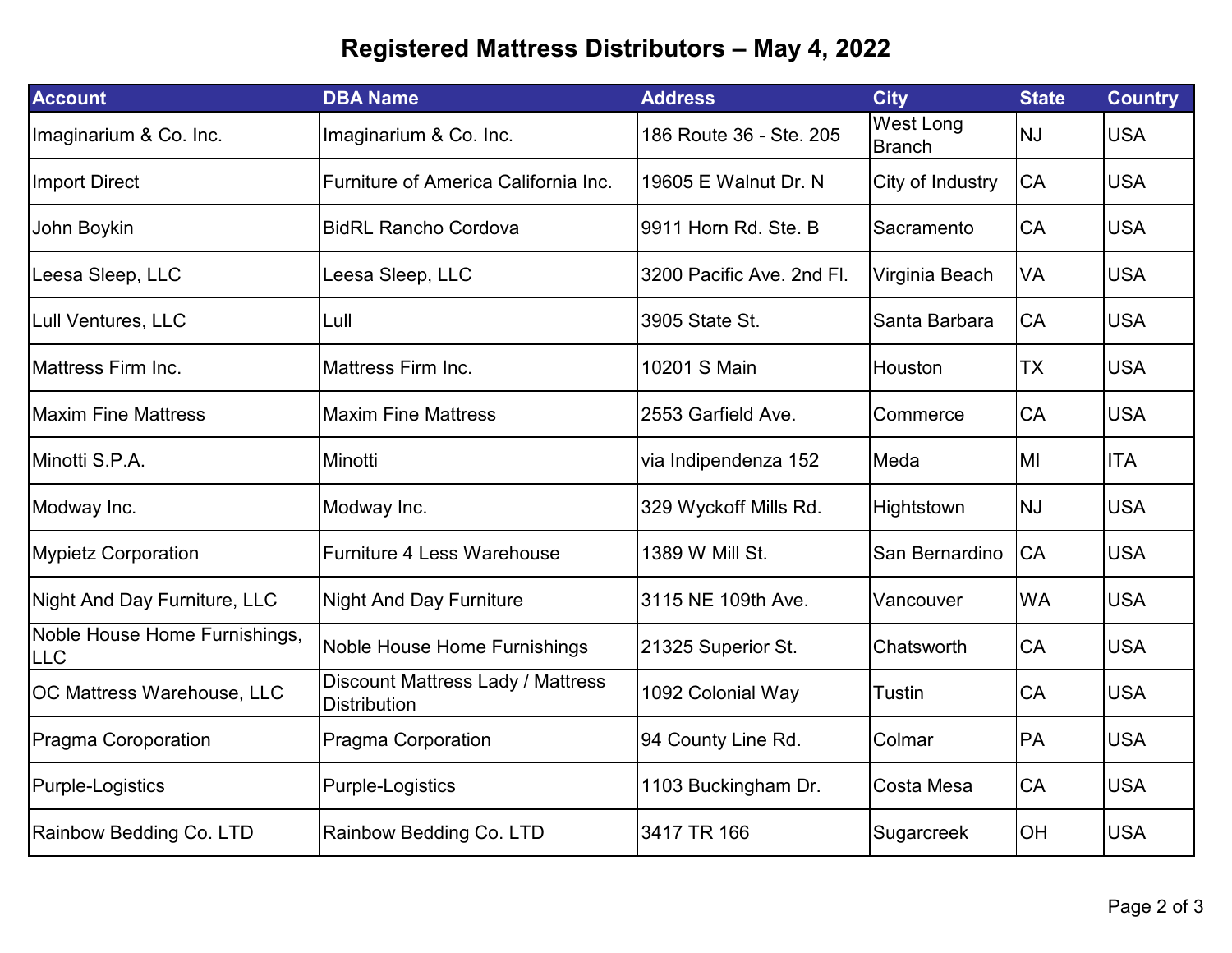## **Registered Mattress Distributors – May 4, 2022**

| <b>Account</b>                              | <b>DBA Name</b>                                          | <b>Address</b>            | <b>City</b>                       | <b>State</b> | <b>Country</b> |
|---------------------------------------------|----------------------------------------------------------|---------------------------|-----------------------------------|--------------|----------------|
| Imaginarium & Co. Inc.                      | Imaginarium & Co. Inc.                                   | 186 Route 36 - Ste. 205   | <b>West Long</b><br><b>Branch</b> | <b>NJ</b>    | <b>USA</b>     |
| <b>Import Direct</b>                        | Furniture of America California Inc.                     | 19605 E Walnut Dr. N      | City of Industry                  | CA           | <b>USA</b>     |
| John Boykin                                 | <b>BidRL Rancho Cordova</b>                              | 9911 Horn Rd. Ste. B      | Sacramento                        | CA           | <b>USA</b>     |
| Leesa Sleep, LLC                            | Leesa Sleep, LLC                                         | 3200 Pacific Ave. 2nd Fl. | Virginia Beach                    | VA           | <b>USA</b>     |
| Lull Ventures, LLC                          | Lull                                                     | 3905 State St.            | Santa Barbara                     | CA           | <b>USA</b>     |
| <b>Mattress Firm Inc.</b>                   | <b>Mattress Firm Inc.</b>                                | 10201 S Main              | Houston                           | <b>TX</b>    | <b>USA</b>     |
| <b>Maxim Fine Mattress</b>                  | <b>Maxim Fine Mattress</b>                               | 2553 Garfield Ave.        | Commerce                          | CA           | <b>USA</b>     |
| Minotti S.P.A.                              | Minotti                                                  | via Indipendenza 152      | Meda                              | MI           | <b>ITA</b>     |
| Modway Inc.                                 | Modway Inc.                                              | 329 Wyckoff Mills Rd.     | Hightstown                        | <b>NJ</b>    | <b>USA</b>     |
| <b>Mypietz Corporation</b>                  | <b>Furniture 4 Less Warehouse</b>                        | 1389 W Mill St.           | San Bernardino                    | CA           | <b>USA</b>     |
| <b>Night And Day Furniture, LLC</b>         | <b>Night And Day Furniture</b>                           | 3115 NE 109th Ave.        | Vancouver                         | <b>WA</b>    | <b>USA</b>     |
| Noble House Home Furnishings,<br><b>LLC</b> | Noble House Home Furnishings                             | 21325 Superior St.        | Chatsworth                        | CA           | <b>USA</b>     |
| OC Mattress Warehouse, LLC                  | Discount Mattress Lady / Mattress<br><b>Distribution</b> | 1092 Colonial Way         | <b>Tustin</b>                     | CA           | <b>USA</b>     |
| Pragma Coroporation                         | Pragma Corporation                                       | 94 County Line Rd.        | Colmar                            | PA           | <b>USA</b>     |
| Purple-Logistics                            | Purple-Logistics                                         | 1103 Buckingham Dr.       | Costa Mesa                        | CA           | <b>USA</b>     |
| Rainbow Bedding Co. LTD                     | Rainbow Bedding Co. LTD                                  | 3417 TR 166               | Sugarcreek                        | OH           | <b>USA</b>     |